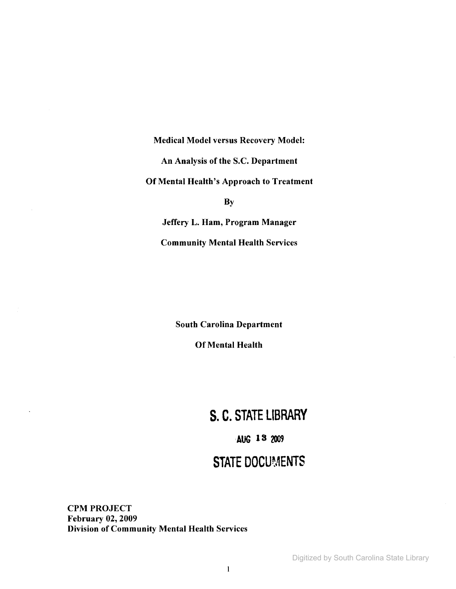Medical Model versus Recovery Model: An Analysis of the S.C. Department Of Mental Health's Approach to Treatment **By** Jeffery L. Ham, Program Manager

Community Mental Health Services

South Carolina Department

Of Mental Health

# **S. C. STATE LIBRARY**

# **AUG** 13 2009

# **STATE DOCUMENTS**

**CPM PROJECT** February 02, 2009 Division of Community Mental Health Services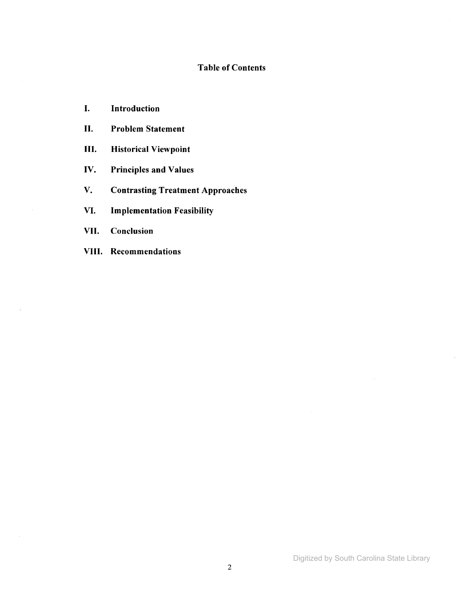# Table of Contents

- I. Introduction
- II. Problem Statement
- III. Historical Viewpoint
- IV. Principles and Values
- V. Contrasting Treatment Approaches
- VI. Implementation Feasibility
- VII. Conclusion

 $\frac{1}{4}$ 

VIII. Recommendations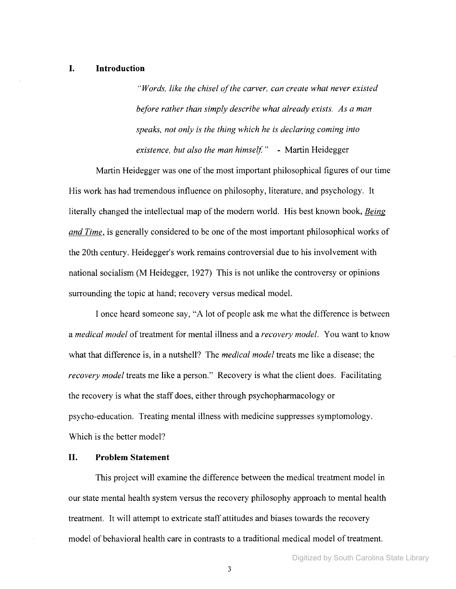## **I. Introduction**

*"Words, like the chisel ofthe carver, can create what never existed before rather than simply describe what already exists. As a man speaks, not only is the thing which he is declaring coming into existence, but also the man himself.* " - Martin Heidegger

Martin Heidegger was one of the most important philosophical figures of our time His work has had tremendous influence on philosophy, literature, and psychology. It literally changed the intellectual map of the modern world. His best known book, *Being and Time*, is generally considered to be one of the most important philosophical works of the 20th century. Heidegger's work remains controversial due to his involvement with national socialism (M Heidegger, 1927) This is not unlike the controversy or opinions surrounding the topic at hand; recovery versus medical model.

I once heard someone say, "A lot of people ask me what the difference is between a *medical model* of treatment for mental illness and a *recovery model*. You want to know what that difference is, in a nutshell? The *medical model* treats me like a disease; the *recovery model* treats me like a person." Recovery is what the client does. Facilitating the recovery is what the staff does, either through psychopharmacology or psycho-education. Treating mental illness with medicine suppresses symptomology. Which is the better model?

# **II. Problem Statement**

This project will examine the difference between the medical treatment model in our state mental health system versus the recovery philosophy approach to mental health treatment. It will attempt to extricate staff attitudes and biases towards the recovery model of behavioral health care in contrasts to a traditional medical model of treatment.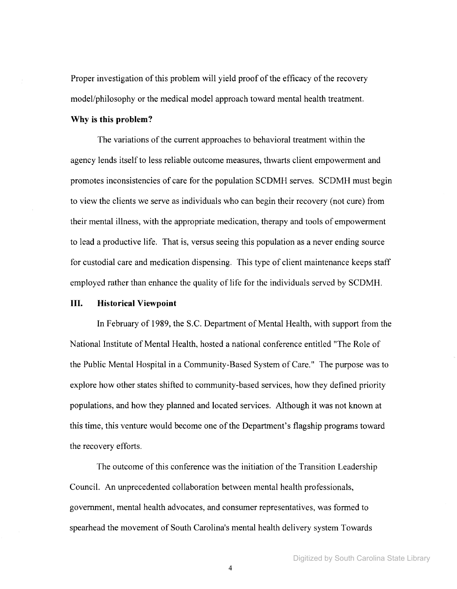Proper investigation of this problem will yield proof of the efficacy of the recovery model/philosophy or the medical model approach toward mental health treatment.

#### Why is this problem?

The variations of the current approaches to behavioral treatment within the agency lends itself to less reliable outcome measures, thwarts client empowerment and promotes inconsistencies of care for the population SCDMH serves. SCDMH must begin to view the clients we serve as individuals who can begin their recovery (not cure) from their mental illness, with the appropriate medication, therapy and tools of empowerment to lead a productive life. That is, versus seeing this population as a never ending source for custodial care and medication dispensing. This type of client maintenance keeps staff employed rather than enhance the quality of life for the individuals served by SCDMH.

#### **III.** Historical Viewpoint

In February of 1989, the S.C. Department of Mental Health, with support from the National Institute of Mental Health, hosted a national conference entitled "The Role of the Public Mental Hospital in a Community-Based System of Care." The purpose was to explore how other states shifted to community-based services, how they defined priority populations, and how they planned and located services. Although it was not known at this time, this venture would become one ofthe Department's flagship programs toward the recovery efforts.

The outcome of this conference was the initiation of the Transition Leadership Council. An unprecedented collaboration between mental health professionals, government, mental health advocates, and consumer representatives, was formed to spearhead the movement of South Carolina's mental health delivery system Towards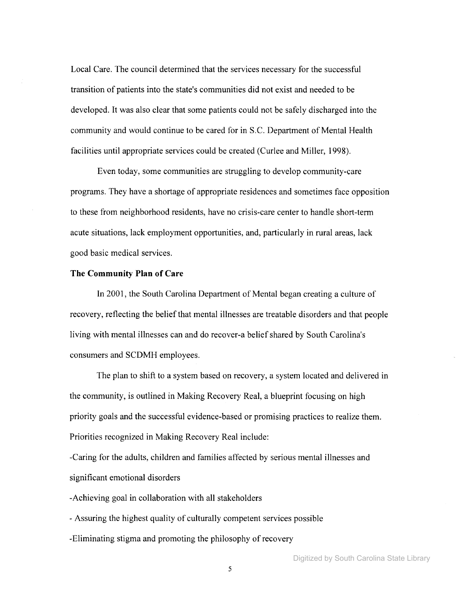Local Care. The council determined that the services necessary for the successful transition of patients into the state's communities did not exist and needed to be developed. It was also clear that some patients could not be safely discharged into the community and would continue to be cared for in S.C. Department of Mental Health facilities until appropriate services could be created (Curlee and Miller, 1998).

Even today, some communities are struggling to develop community-care programs. They have a shortage of appropriate residences and sometimes face opposition to these from neighborhood residents, have no crisis-care center to handle short-term acute situations, lack employment opportunities, and, particularly in rural areas, lack good basic medical services.

#### **The Community Plan of Care**

In 2001, the South Carolina Department of Mental began creating a culture of recovery, reflecting the belief that mental illnesses are treatable disorders and that people living with mental illnesses can and do recover-a belief shared by South Carolina's consumers and SCDMH employees.

The plan to shift to a system based on recovery, a system located and delivered in the community, is outlined in Making Recovery Real, a blueprint focusing on high priority goals and the successful evidence-based or promising practices to realize them. Priorities recognized in Making Recovery Real include:

-Caring for the adults, children and families affected by serious mental illnesses and significant emotional disorders

-Achieving goal in collaboration with all stakeholders

- Assuring the highest quality of culturally competent services possible

-Eliminating stigma and promoting the philosophy of recovery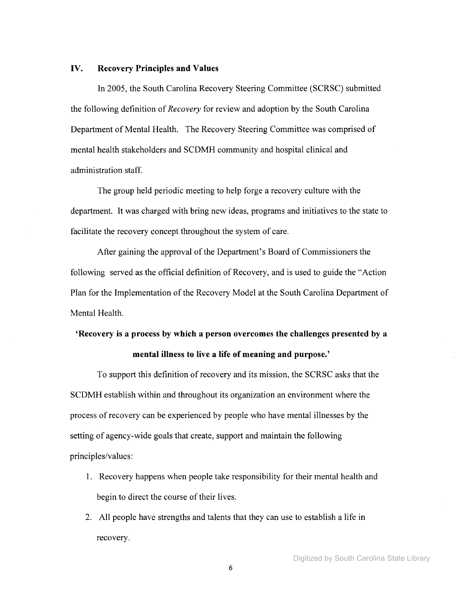# IV. Recovery Principles and Values

In 2005, the South Carolina Recovery Steering Committee (SCRSC) submitted the following definition of *Recovery* for review and adoption by the South Carolina Department of Mental Health. The Recovery Steering Committee was comprised of mental health stakeholders and SCDMH community and hospital clinical and administration staff.

The group held periodic meeting to help forge a recovery culture with the department. It was charged with bring new ideas, programs and initiatives to the state to facilitate the recovery concept throughout the system of care.

After gaining the approval of the Department's Board of Commissioners the following served as the official definition of Recovery, and is used to guide the "Action" Plan for the Implementation of the Recovery Model at the South Carolina Department of Mental Health.

# 'Recovery is a process by which a person overcomes the challenges presented by a mental illness to live a life of meaning and purpose.'

To support this definition of recovery and its mission, the SCRSC asks that the SCDMH establish within and throughout its organization an environment where the process of recovery can be experienced by people who have mental illnesses by the setting of agency-wide goals that create, support and maintain the following principles/values:

- 1. Recovery happens when people take responsibility for their mental health and begin to direct the course of their lives.
- 2. All people have strengths and talents that they can use to establish a life in recovery.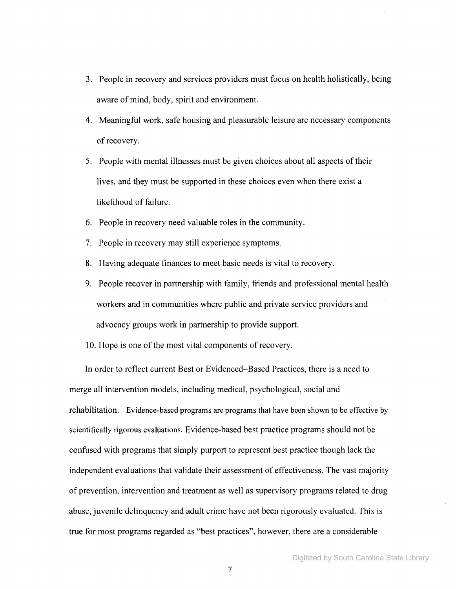- 3. People in recovery and services providers must focus on health holistically, being aware of mind, body, spirit and environment.
- 4. Meaningful work, safe housing and pleasurable leisure are necessary components of recovery.
- 5. People with mental illnesses must be given choices about all aspects oftheir lives, and they must be supported in these choices even when there exist a likelihood of failure.
- 6. People in recovery need valuable roles in the community.
- 7. People in recovery may still experience symptoms.
- 8. Having adequate finances to meet basic needs is vital to recovery.
- 9. People recover in partnership with family, friends and professional mental health workers and in communities where public and private service providers and advocacy groups work in partnership to provide support.
- 10. Hope is one of the most vital components of recovery.

In order to reflect current Best or Evidenced-Based Practices, there is a need to merge all intervention models, including medical, psychological, social and rehabilitation. Evidence-based programs are programs that have been shown to be effective by scientifically rigorous evaluations. Evidence-based best practice programs should not be confused with programs that simply purport to represent best practice though lack the independent evaluations that validate their assessment of effectiveness. The vast majority of prevention, intervention and treatment as well as supervisory programs related to drug abuse, juvenile delinquency and adult crime have not been rigorously evaluated. This is true for most programs regarded as "best practices", however, there are a considerable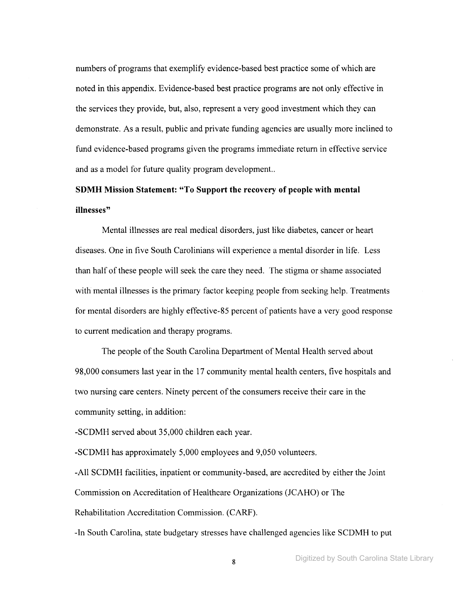numbers of programs that exemplify evidence-based best practice some of which are noted in this appendix. Evidence-based best practice programs are not only effective in the services they provide, but, also, represent a very good investment which they can demonstrate. As a result, public and private funding agencies are usually more inclined to fund evidence-based programs given the programs immediate return in effective service and as a model for future quality program development..

# **SDMH Mission Statement: "To Support the recovery of people with mental illnesses"**

Mental illnesses are real medical disorders, just like diabetes, cancer or heart diseases. One in five South Carolinians will experience a mental disorder in life. Less than half of these people will seek the care they need. The stigma or shame associated with mental illnesses is the primary factor keeping people from seeking help. Treatments for mental disorders are highly effective-85 percent of patients have a very good response to current medication and therapy programs.

The people of the South Carolina Department of Mental Health served about 98,000 consumers last year in the 17 community mental health centers, five hospitals and two nursing care centers. Ninety percent of the consumers receive their care in the community setting, in addition:

-SCDMH served about 35,000 children each year.

-SCDMH has approximately 5,000 employees and 9,050 volunteers.

-All SCDMH facilities, inpatient or community-based, are accredited by either the Joint Commission on Accreditation of Healthcare Organizations (JCAHO) or The Rehabilitation Accreditation Commission. (CARF).

-In South Carolina, state budgetary stresses have challenged agencies like SCDMH to put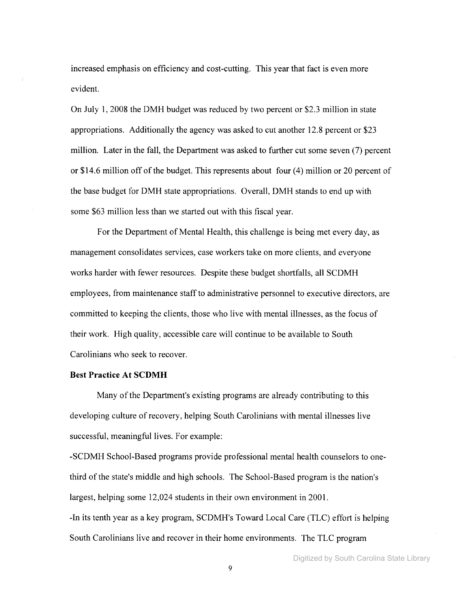increased emphasis on efficiency and cost-cutting. This year that fact is even more evident.

On July 1,2008 the DMH budget was reduced by two percent or \$2.3 million in state appropriations. Additionally the agency was asked to cut another 12.8 percent or \$23 million. Later in the fall, the Department was asked to further cut some seven (7) percent or \$14.6 million off of the budget. This represents about four  $(4)$  million or 20 percent of the base budget for DMH state appropriations. Overall, DMH stands to end up with some \$63 million less than we started out with this fiscal year.

For the Department of Mental Health, this challenge is being met every day, as management consolidates services, case workers take on more clients, and everyone works harder with fewer resources. Despite these budget shortfalls, all SCDMH employees, from maintenance staffto administrative personnel to executive directors, are committed to keeping the clients, those who live with mental illnesses, as the focus of their work. High quality, accessible care will continue to be available to South Carolinians who seek to recover.

#### **Best Practice At SCDMH**

Many of the Department's existing programs are already contributing to this developing culture of recovery, helping South Carolinians with mental illnesses live successful, meaningful lives. For example:

-SCDMH School-Based programs provide professional mental health counselors to onethird ofthe state's middle and high schools. The School-Based program is the nation's largest, helping some 12,024 students in their own environment in 2001. -In its tenth year as a key program, SCDMH's Toward Local Care (TLC) effort is helping South Carolinians live and recover in their home environments. The TLC program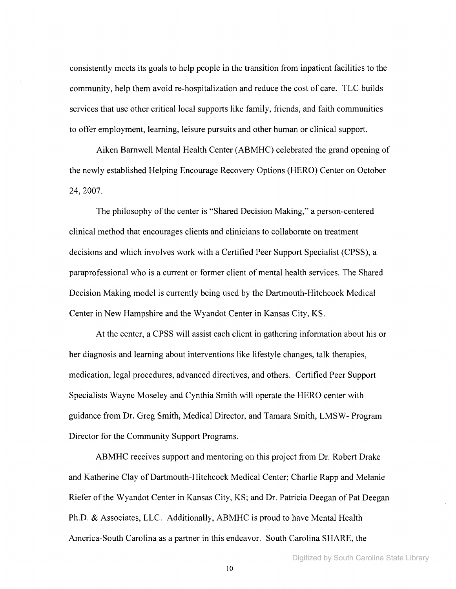consistently meets its goals to help people in the transition from inpatient facilities to the community, help them avoid re-hospitalization and reduce the cost of care. TLC builds services that use other critical local supports like family, friends, and faith communities to offer employment, learning, leisure pursuits and other human or clinical support.

Aiken Barnwell Mental Health Center (ABMHC) celebrated the grand opening of the newly established Helping Encourage Recovery Options (HERO) Center on October 24,2007.

The philosophy of the center is "Shared Decision Making," a person-centered clinical method that encourages clients and clinicians to collaborate on treatment decisions and which involves work with a Certified Peer Support Specialist (CPSS), a paraprofessional who is a current or former client of mental health services. The Shared Decision Making model is currently being used by the Dartmouth-Hitchcock Medical Center in New Hampshire and the Wyandot Center in Kansas City, KS.

At the center, a CPSS will assist each client in gathering information about his or her diagnosis and learning about interventions like lifestyle changes, talk therapies, medication, legal procedures, advanced directives, and others. Certified Peer Support Specialists Wayne Moseley and Cynthia Smith will operate the HERO center with guidance from Dr. Greg Smith, Medical Director, and Tamara Smith, LMSW- Program Director for the Community Support Programs.

ABMHC receives support and mentoring on this project from Dr. Robert Drake and Katherine Clay of Dartmouth-Hitchcock Medical Center; Charlie Rapp and Melanie Riefer of the Wyandot Center in Kansas City, KS; and Dr. Patricia Deegan of Pat Deegan Ph.D. & Associates, LLC. Additionally, ABMHC is proud to have Mental Health America-South Carolina as a partner in this endeavor. South Carolina SHARE, the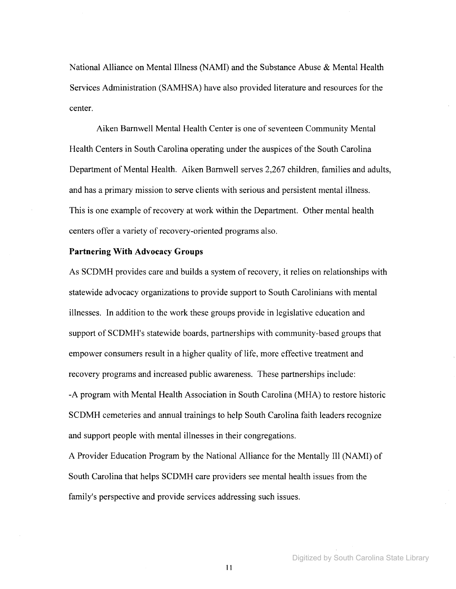National Alliance on Mental Illness (NAMI) and the Substance Abuse & Mental Health Services Administration (SAMHSA) have also provided literature and resources for the center.

Aiken Barnwell Mental Health Center is one of seventeen Community Mental Health Centers in South Carolina operating under the auspices of the South Carolina Department of Mental Health. Aiken Barnwell serves 2,267 children, families and adults, and has a primary mission to serve clients with serious and persistent mental illness. This is one example of recovery at work within the Department. Other mental health centers offer a variety of recovery-oriented programs also.

#### **Partnering With** Advocacy **Groups**

As SCDMH provides care and builds a system of recovery, it relies on relationships with statewide advocacy organizations to provide support to South Carolinians with mental illnesses. In addition to the work these groups provide in legislative education and support of SCDMH's statewide boards, partnerships with community-based groups that empower consumers result in a higher quality of life, more effective treatment and recovery programs and increased public awareness. These partnerships include: -A program with Mental Health Association in South Carolina (MHA) to restore historic SCDMH cemeteries and annual trainings to help South Carolina faith leaders recognize and support people with mental illnesses in their congregations.

A Provider Education Program by the National Alliance for the Mentally III (NAMI) of South Carolina that helps SCDMH care providers see mental health issues from the family's perspective and provide services addressing such issues.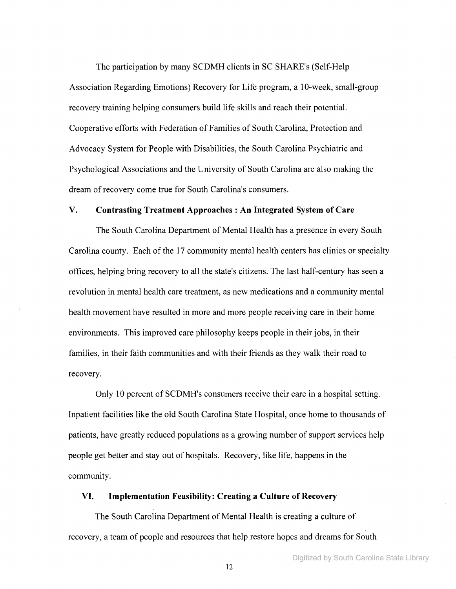The participation by many SCDMH clients in SC SHARE's (Self-Help Association Regarding Emotions) Recovery for Life program, a 10-week, small-group recovery training helping consumers build life skills and reach their potential. Cooperative efforts with Federation of Families of South Carolina, Protection and Advocacy System for People with Disabilities, the South Carolina Psychiatric and Psychological Associations and the University of South Carolina are also making the dream of recovery come true for South Carolina's consumers.

# **V. Contrasting Treatment Approaches: An Integrated** System **of Care**

The South Carolina Department of Mental Health has a presence in every South Carolina county. Each of the 17 community mental health centers has clinics or specialty offices, helping bring recovery to all the state's citizens. The last half-century has seen a revolution in mental health care treatment, as new medications and a community mental health movement have resulted in more and more people receiving care in their home environments. This improved care philosophy keeps people in their jobs, in their families, in their faith communities and with their friends as they walk their road to recovery.

Only 10 percent of SCDMH's consumers receive their care in a hospital setting. Inpatient facilities like the old South Carolina State Hospital, once home to thousands of patients, have greatly reduced populations as a growing number of support services help people get better and stay out of hospitals. Recovery, like life, happens in the community.

#### **VI. Implementation Feasibility: Creating a Culture of** Recovery

The South Carolina Department of Mental Health is creating a culture of recovery, a team of people and resources that help restore hopes and dreams for South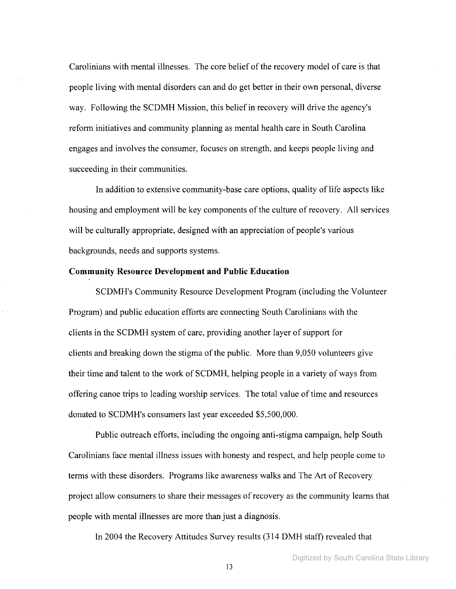Carolinians with mental illnesses. The core belief of the recovery model of care is that people living with mental disorders can and do get better in their own personal, diverse way. Following the SCDMH Mission, this belief in recovery will drive the agency's reform initiatives and community planning as mental health care in South Carolina engages and involves the consumer, focuses on strength, and keeps people living and succeeding in their communities.

**In** addition to extensive community-base care options, quality of life aspects like housing and employment will be key components of the culture of recovery. All services will be culturally appropriate, designed with an appreciation of people's various backgrounds, needs and supports systems.

## **Community Resource Development and Public Education**

SCDMH's Community Resource Development Program (including the Volunteer Program) and public education efforts are connecting South Carolinians with the clients in the SCDMH system of care, providing another layer of support for clients and breaking down the stigma of the public. More than 9,050 volunteers give their time and talent to the work of SCDMH, helping people in a variety of ways from offering canoe trips to leading worship services. The total value oftime and resources donated to SCDMH's consumers last year exceeded \$5,500,000.

Public outreach efforts, including the ongoing anti-stigma campaign, help South Carolinians face mental illness issues with honesty and respect, and help people come to terms with these disorders. Programs like awareness walks and The Art of Recovery project allow consumers to share their messages of recovery as the community learns that people with mental illnesses are more than just a diagnosis.

**In** 2004 the Recovery Attitudes Survey results (314 DMH staff) revealed that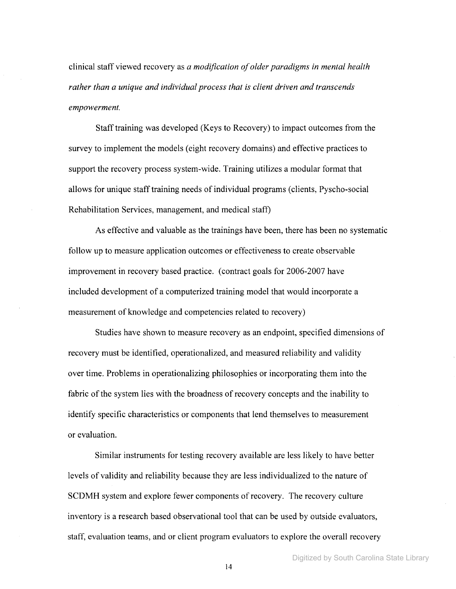clinical staff viewed recovery as *a modification ofolder paradigms in mental health rather than a unique and individual process that is client driven and transcends empowerment.*

Stafftraining was developed (Keys to Recovery) to impact outcomes from the survey to implement the models (eight recovery domains) and effective practices to support the recovery process system-wide. Training utilizes a modular format that allows for unique stafftraining needs of individual programs (clients, Pyscho-social Rehabilitation Services, management, and medical staff)

As effective and valuable as the trainings have been, there has been no systematic follow up to measure application outcomes or effectiveness to create observable improvement in recovery based practice. (contract goals for 2006-2007 have included development of a computerized training model that would incorporate a measurement of knowledge and competencies related to recovery)

Studies have shown to measure recovery as an endpoint, specified dimensions of recovery must be identified, operationalized, and measured reliability and validity over time. Problems in operationalizing philosophies or incorporating them into the fabric of the system lies with the broadness of recovery concepts and the inability to identify specific characteristics or components that lend themselves to measurement or evaluation.

Similar instruments for testing recovery available are less likely to have better levels of validity and reliability because they are less individualized to the nature of SCDMH system and explore fewer components of recovery. The recovery culture inventory is a research based observational tool that can be used by outside evaluators, staff, evaluation teams, and or client program evaluators to explore the overall recovery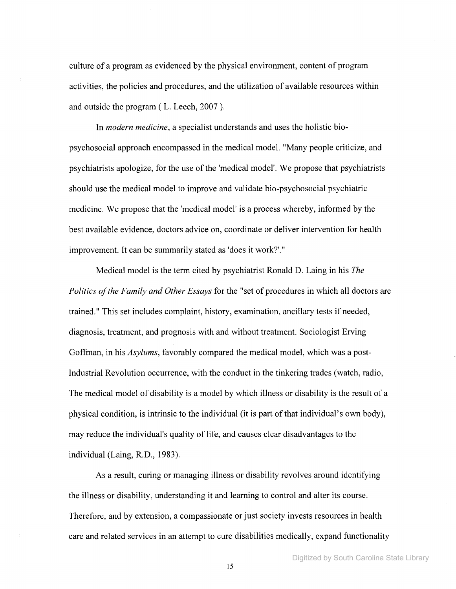culture of a program as evidenced by the physical environment, content of program activities, the policies and procedures, and the utilization of available resources within and outside the program ( L. Leech, 2007 ).

In *modern medicine,* a specialist understands and uses the holistic biopsychosocial approach encompassed in the medical model. "Many people criticize, and psychiatrists apologize, for the use of the 'medical model'. We propose that psychiatrists should use the medical model to improve and validate bio-psychosocial psychiatric medicine. We propose that the 'medical model' is a process whereby, informed by the best available evidence, doctors advice on, coordinate or deliver intervention for health improvement. It can be summarily stated as 'does it work?'."

Medical model is the term cited by psychiatrist Ronald D. Laing in his *The Politics ofthe Family and Other Essays* for the "set of procedures in which all doctors are trained." This set includes complaint, history, examination, ancillary tests if needed, diagnosis, treatment, and prognosis with and without treatment. Sociologist Erving Goffman, in his *Asylums,* favorably compared the medical model, which was a post-Industrial Revolution occurrence, with the conduct in the tinkering trades (watch, radio, The medical model of disability is a model by which illness or disability is the result of a physical condition, is intrinsic to the individual (it is part of that individual's own body), may reduce the individual's quality of life, and causes clear disadvantages to the individual (Laing, R.D., 1983).

As a result, curing or managing illness or disability revolves around identifying the illness or disability, understanding it and learning to control and alter its course. Therefore, and by extension, a compassionate or just society invests resources in health care and related services in an attempt to cure disabilities medically, expand functionality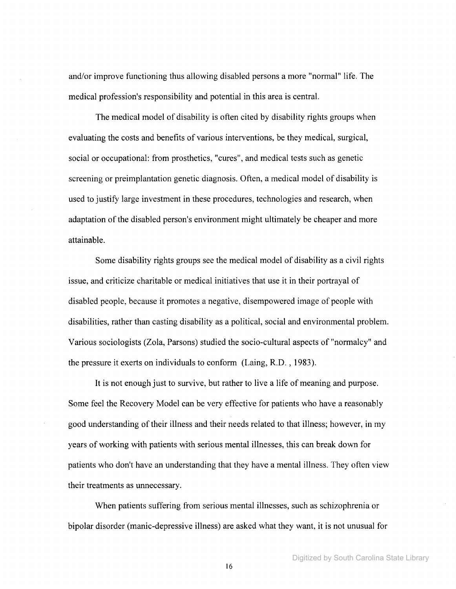and/or improve functioning thus allowing disabled persons a more "normal" life. The medical profession's responsibility and potential in this area is central.

The medical model of disability is often cited by disability rights groups when evaluating the costs and benefits of various interventions, be they medical, surgical, social or occupational: from prosthetics, "cures", and medical tests such as genetic screening or preimplantation genetic diagnosis. Often, a medical model of disability is used to justify large investment in these procedures, technologies and research, when adaptation of the disabled person's environment might ultimately be cheaper and more attainable.

Some disability rights groups see the medical model of disability as a civil rights issue, and criticize charitable or medical initiatives that use it in their portrayal of disabled people, because it promotes a negative, disempowered image of people with disabilities, rather than casting disability as a political, social and environmental problem. Various sociologists (Zola, Parsons) studied the socio-cultural aspects of "normalcy" and the pressure it exerts on individuals to conform (Laing, R.D. , 1983).

It is not enough just to survive, but rather to live a life of meaning and purpose. Some feel the Recovery Model can be very effective for patients who have a reasonably good understanding oftheir illness and their needs related to that illness; however, in my years of working with patients with serious mental illnesses, this can break down for patients who don't have an understanding that they have a mental illness. They often view their treatments as unnecessary.

When patients suffering from serious mental illnesses, such as schizophrenia or bipolar disorder (manic-depressive illness) are asked what they want, it is not unusual for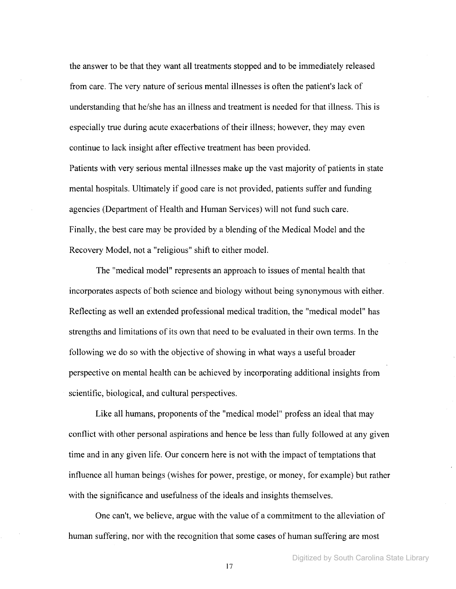the answer to be that they want all treatments stopped and to be immediately released from care. The very nature of serious mental illnesses is often the patient's lack of understanding that he/she has an illness and treatment is needed for that illness. This is especially true during acute exacerbations of their illness; however, they may even continue to lack insight after effective treatment has been provided.

Patients with very serious mental illnesses make up the vast majority of patients in state mental hospitals. Ultimately if good care is not provided, patients suffer and funding agencies (Department of Health and Human Services) will not fund such care. Finally, the best care may be provided by a blending of the Medical Model and the Recovery Model, not a "religious" shift to either model.

The "medical model" represents an approach to issues of mental health that incorporates aspects of both science and biology without being synonymous with either. Reflecting as well an extended professional medical tradition, the "medical model" has strengths and limitations of its own that need to be evaluated in their own terms. In the following we do so with the objective of showing in what ways a useful broader perspective on mental health can be achieved by incorporating additional insights from scientific, biological, and cultural perspectives.

Like all humans, proponents of the "medical model" profess an ideal that may conflict with other personal aspirations and hence be less than fully followed at any given time and in any given life. Our concern here is not with the impact of temptations that influence all human beings (wishes for power, prestige, or money, for example) but rather with the significance and usefulness of the ideals and insights themselves.

One can't, we believe, argue with the value of a commitment to the alleviation of human suffering, nor with the recognition that some cases of human suffering are most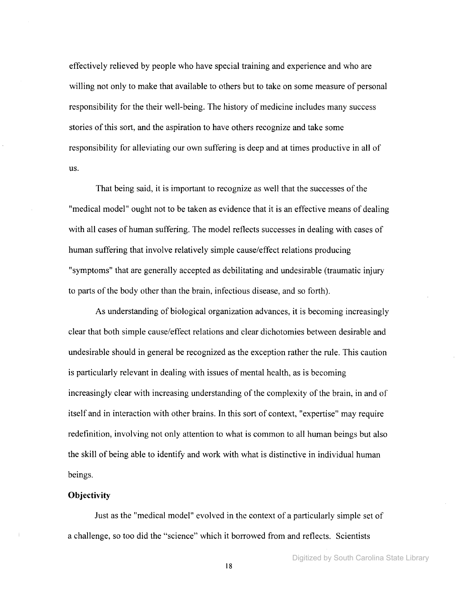effectively relieved by people who have special training and experience and who are willing not only to make that available to others but to take on some measure of personal responsibility for the their well-being. The history of medicine includes many success stories ofthis sort, and the aspiration to have others recognize and take some responsibility for alleviating our own suffering is deep and at times productive in all of us.

That being said, it is important to recognize as well that the successes of the "medical model" ought not to be taken as evidence that it is an effective means of dealing with all cases of human suffering. The model reflects successes in dealing with cases of human suffering that involve relatively simple cause/effect relations producing "symptoms" that are generally accepted as debilitating and undesirable (traumatic injury to parts of the body other than the brain, infectious disease, and so forth).

As understanding of biological organization advances, it is becoming increasingly clear that both simple cause/effect relations and clear dichotomies between desirable and undesirable should in general be recognized as the exception rather the rule. This caution is particularly relevant in dealing with issues of mental health, as is becoming increasingly clear with increasing understanding of the complexity of the brain, in and of itself and in interaction with other brains. In this sort of context, "expertise" may require redefinition, involving not only attention to what is common to all human beings but also the skill of being able to identify and work with what is distinctive in individual human beings.

#### **Objectivity**

Just as the "medical model" evolved in the context of a particularly simple set of a challenge, so too did the "science" which it borrowed from and reflects. Scientists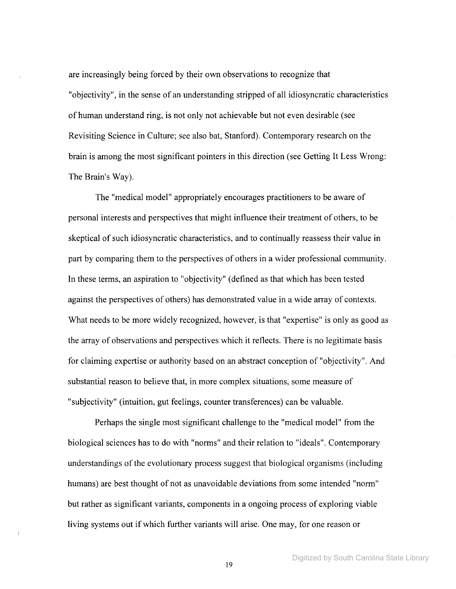are increasingly being forced by their own observations to recognize that "objectivity", in the sense of an understanding stripped of all idiosyncratic characteristics of human understand ring, is not only not achievable but not even desirable (see Revisiting Science in Culture; see also bat, Stanford). Contemporary research on the brain is among the most significant pointers in this direction (see Getting It Less Wrong: The Brain's Way).

The "medical model" appropriately encourages practitioners to be aware of personal interests and perspectives that might influence their treatment of others, to be skeptical of such idiosyncratic characteristics, and to continually reassess their value in part by comparing them to the perspectives of others in a wider professional community. In these terms, an aspiration to "objectivity" (defined as that which has been tested against the perspectives of others) has demonstrated value in a wide array of contexts. What needs to be more widely recognized, however, is that "expertise" is only as good as the array of observations and perspectives which it reflects. There is no legitimate basis for claiming expertise or authority based on an abstract conception of "objectivity". And substantial reason to believe that, in more complex situations, some measure of "subjectivity" (intuition, gut feelings, counter transferences) can be valuable.

Perhaps the single most significant challenge to the "medical model" from the biological sciences has to do with "norms" and their relation to "ideals". Contemporary understandings ofthe evolutionary process suggest that biological organisms (including humans) are best thought of not as unavoidable deviations from some intended "norm" but rather as significant variants, components in a ongoing process of exploring viable living systems out if which further variants will arise. One may, for one reason or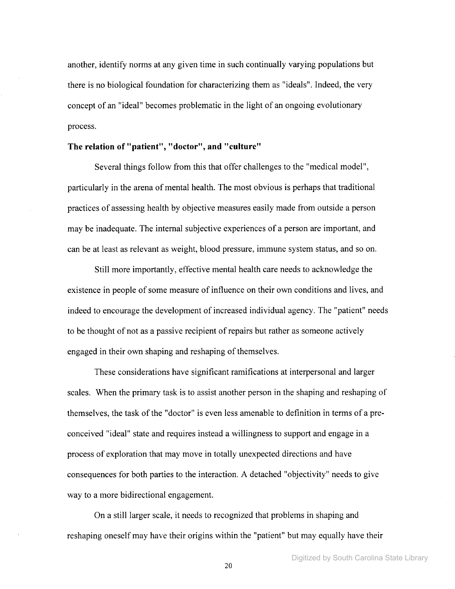another, identify norms at any given time in such continually varying populations but there is no biological foundation for characterizing them as "ideals". Indeed, the very concept of an "ideal" becomes problematic in the light of an ongoing evolutionary process.

## **The relation of "patient", "doctor", and "culture"**

Several things follow from this that offer challenges to the "medical model", particularly in the arena of mental health. The most obvious is perhaps that traditional practices of assessing health by objective measures easily made from outside a person may be inadequate. The internal subjective experiences of a person are important, and can be at least as relevant as weight, blood pressure, immune system status, and so on.

Still more importantly, effective mental health care needs to acknowledge the existence in people of some measure of influence on their own conditions and lives, and indeed to encourage the development of increased individual agency. The "patient" needs to be thought of not as a passive recipient of repairs but rather as someone actively engaged in their own shaping and reshaping of themselves.

These considerations have significant ramifications at interpersonal and larger scales. When the primary task is to assist another person in the shaping and reshaping of themselves, the task of the "doctor" is even less amenable to definition in terms of a preconceived "ideal" state and requires instead a willingness to support and engage in a process of exploration that may move in totally unexpected directions and have consequences for both parties to the interaction. A detached "objectivity" needs to give way to a more bidirectional engagement.

On a still larger scale, it needs to recognized that problems in shaping and reshaping oneself may have their origins within the "patient" but may equally have their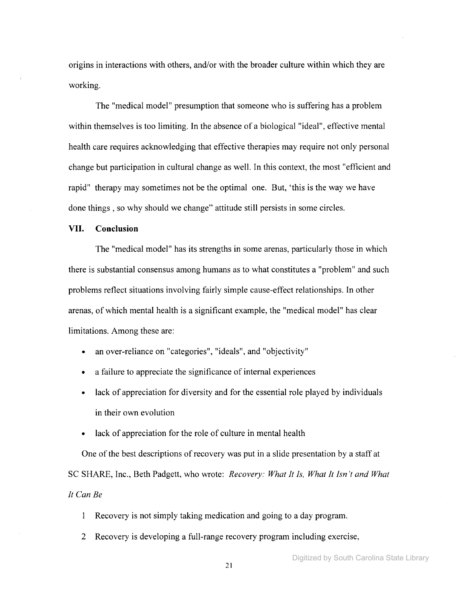origins in interactions with others, and/or with the broader culture within which they are working.

The "medical model" presumption that someone who is suffering has a problem within themselves is too limiting. In the absence of a biological "ideal", effective mental health care requires acknowledging that effective therapies may require not only personal change but participation in cultural change as well. In this context, the most "efficient and rapid" therapy may sometimes not be the optimal one. But, 'this is the way we have done things, so why should we change" attitude still persists in some circles.

## **VII. Conclusion**

The "medical model" has its strengths in some arenas, particularly those in which there is substantial consensus among humans as to what constitutes a "problem" and such problems reflect situations involving fairly simple cause-effect relationships. In other arenas, of which mental health is a significant example, the "medical model" has clear limitations. Among these are:

- an over-reliance on "categories", "ideals", and "objectivity"
- a failure to appreciate the significance of internal experiences
- lack of appreciation for diversity and for the essential role played by individuals in their own evolution
- lack of appreciation for the role of culture in mental health

One of the best descriptions of recovery was put in a slide presentation by a staff at SC SHARE, Inc., Beth Padgett, who wrote: *Recovery: What It Is, What It Isn't and What It Can Be*

1 Recovery is not simply taking medication and going to a day program.

2 Recovery is developing a full-range recovery program including exercise,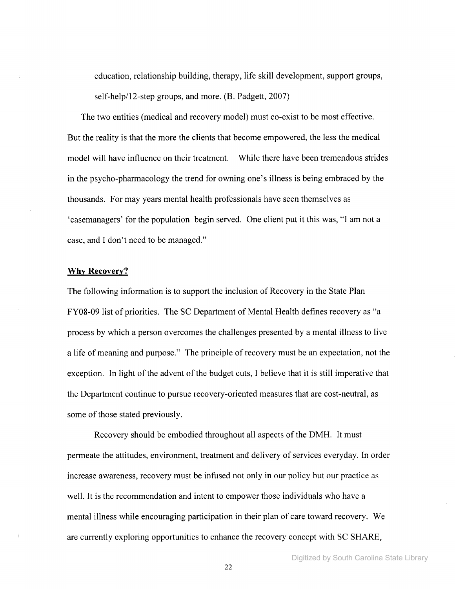education, relationship building, therapy, life skill development, support groups, self-help/12-step groups, and more. (B. Padgett, 2007)

The two entities (medical and recovery model) must co-exist to be most effective. But the reality is that the more the clients that become empowered, the less the medical model will have influence on their treatment. While there have been tremendous strides in the psycho-pharmacology the trend for owning one's illness is being embraced by the thousands. For may years mental health professionals have seen themselves as 'casemanagers' for the population begin served. One client put it this was, "I am not a case, and I don't need to be managed."

#### **Why** Recovery?

The following information is to support the inclusion of Recovery in the State Plan FY08-09 list of priorities. The SC Department of Mental Health defines recovery as "a process by which a person overcomes the challenges presented by a mental illness to live a life of meaning and purpose." The principle of recovery must be an expectation, not the exception. In light of the advent of the budget cuts, I believe that it is still imperative that the Department continue to pursue recovery-oriented measures that are cost-neutral, as some of those stated previously.

Recovery should be embodied throughout all aspects of the DMH. It must permeate the attitudes, environment, treatment and delivery of services everyday. In order increase awareness, recovery must be infused not only in our policy but our practice as well. It is the recommendation and intent to empower those individuals who have a mental illness while encouraging participation in their plan of care toward recovery. We are currently exploring opportunities to enhance the recovery concept with SC SHARE,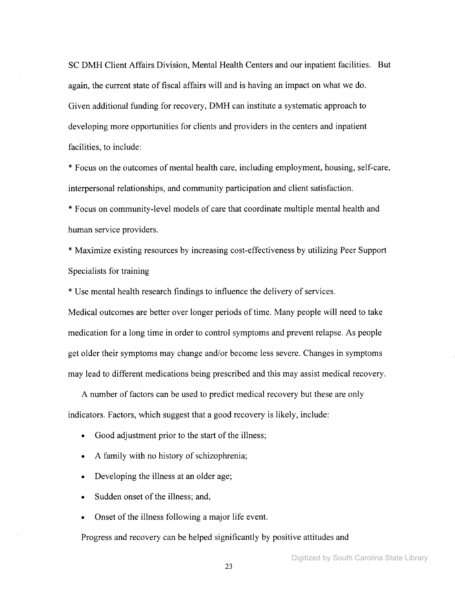SC DMH Client Affairs Division, Mental Health Centers and our inpatient facilities. But again, the current state of fiscal affairs will and is having an impact on what we do. Given additional funding for recovery, DMH can institute a systematic approach to developing more opportunities for clients and providers in the centers and inpatient facilities, to include:

\* Focus on the outcomes of mental health care, including employment, housing, self-care, interpersonal relationships, and community participation and client satisfaction.

\* Focus on community-level models of care that coordinate multiple mental health and human service providers.

\* Maximize existing resources by increasing cost-effectiveness by utilizing Peer Support Specialists for training

\* Use mental health research findings to influence the delivery of services.

Medical outcomes are better over longer periods of time. Many people will need to take medication for a long time in order to control symptoms and prevent relapse. As people get older their symptoms may change and/or become less severe. Changes in symptoms may lead to different medications being prescribed and this may assist medical recovery.

A number of factors can be used to predict medical recovery but these are only indicators. Factors, which suggest that a good recovery is likely, include:

- Good adjustment prior to the start of the illness;
- A family with no history of schizophrenia;
- Developing the illness at an older age;
- Sudden onset of the illness; and,
- Onset of the illness following a major life event.

Progress and recovery can be helped significantly by positive attitudes and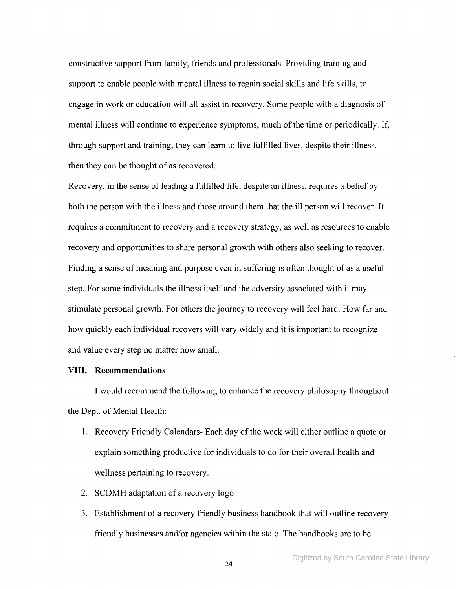constructive support from family, friends and professionals. Providing training and support to enable people with mental illness to regain social skills and life skills, to engage in work or education will all assist in recovery. Some people with a diagnosis of mental illness will continue to experience symptoms, much of the time or periodically. If, through support and training, they can learn to live fulfilled lives, despite their illness, then they can be thought of as recovered.

Recovery, in the sense of leading a fulfilled life, despite an illness, requires a belief by both the person with the illness and those around them that the ill person will recover. It requires a commitment to recovery and a recovery strategy, as well as resources to enable recovery and opportunities to share personal growth with others also seeking to recover. Finding a sense of meaning and purpose even in suffering is often thought of as a useful step. For some individuals the illness itself and the adversity associated with it may stimulate personal growth. For others the journey to recovery will feel hard. How far and how quickly each individual recovers will vary widely and it is important to recognize and value every step no matter how small.

#### **VIII. Recommendations**

I would recommend the following to enhance the recovery philosophy throughout the Dept. of Mental Health:

- 1. Recovery Friendly Calendars- Each day of the week will either outline a quote or explain something productive for individuals to do for their overall health and wellness pertaining to recovery.
- 2. SCDMH adaptation of a recovery logo
- 3. Establishment of a recovery friendly business handbook that will outline recovery friendly businesses and/or agencies within the state. The handbooks are to be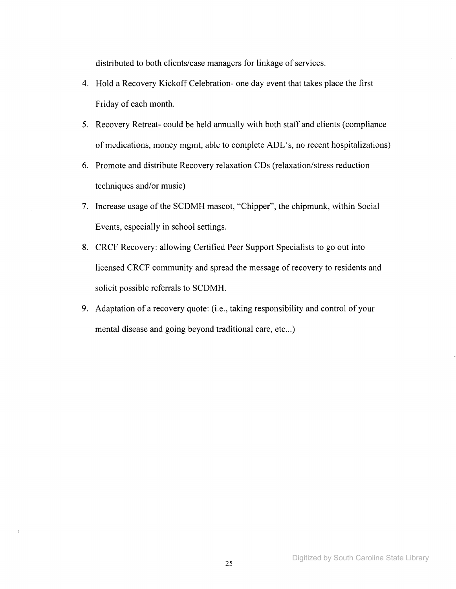distributed to both clients/case managers for linkage of services.

- 4. Hold a Recovery Kickoff Celebration- one day event that takes place the first Friday of each month.
- 5. Recovery Retreat- could be held annually with both staff and clients (compliance of medications, money mgmt, able to complete ADL's, no recent hospitalizations)
- 6. Promote and distribute Recovery relaxation CDs (relaxation/stress reduction techniques and/or music)
- 7. Increase usage of the SCDMH mascot, "Chipper", the chipmunk, within Social Events, especially in school settings.
- 8. CRCF Recovery: allowing Certified Peer Support Specialists to go out into licensed CRCF community and spread the message of recovery to residents and solicit possible referrals to SCDMH.
- 9. Adaptation of a recovery quote: (i.e., taking responsibility and control of your mental disease and going beyond traditional care, etc...)

 $\frac{1}{2}$